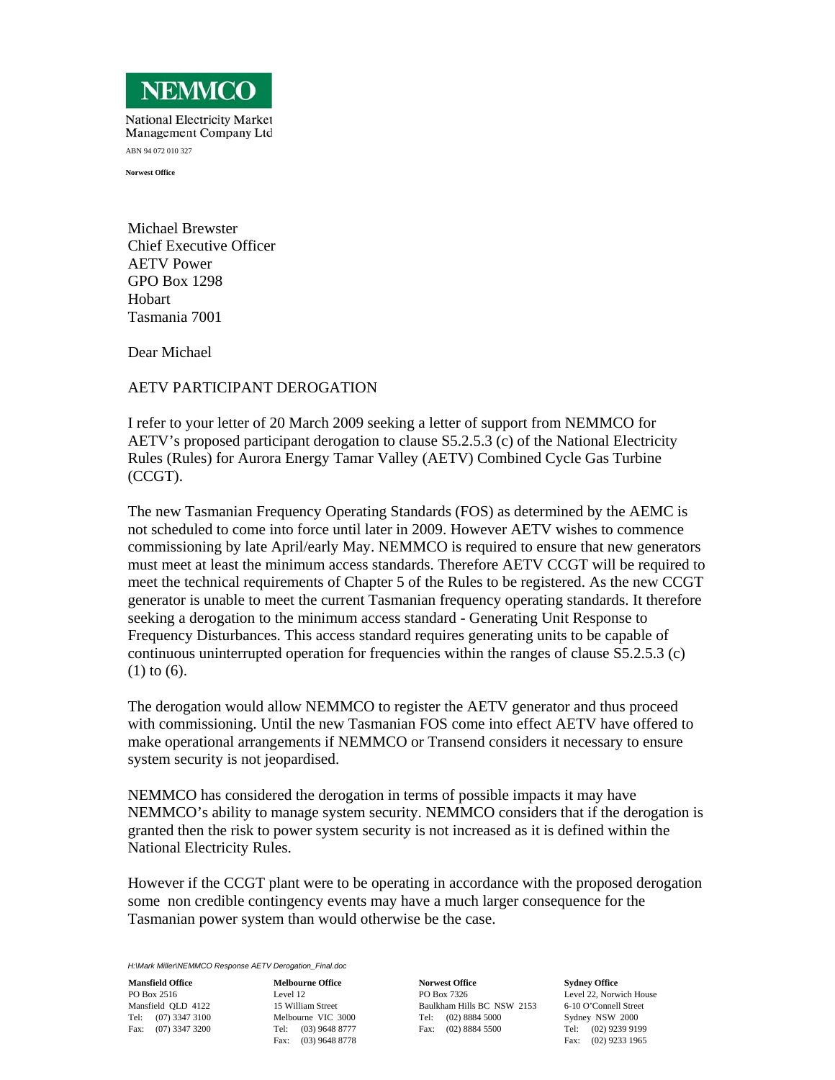

**National Electricity Market** Management Company Ltd ABN 94 072 010 327

**Norwest Office** 

Michael Brewster Chief Executive Officer AETV Power GPO Box 1298 Hobart Tasmania 7001

Dear Michael

## AETV PARTICIPANT DEROGATION

I refer to your letter of 20 March 2009 seeking a letter of support from NEMMCO for AETV's proposed participant derogation to clause S5.2.5.3 (c) of the National Electricity Rules (Rules) for Aurora Energy Tamar Valley (AETV) Combined Cycle Gas Turbine (CCGT).

The new Tasmanian Frequency Operating Standards (FOS) as determined by the AEMC is not scheduled to come into force until later in 2009. However AETV wishes to commence commissioning by late April/early May. NEMMCO is required to ensure that new generators must meet at least the minimum access standards. Therefore AETV CCGT will be required to meet the technical requirements of Chapter 5 of the Rules to be registered. As the new CCGT generator is unable to meet the current Tasmanian frequency operating standards. It therefore seeking a derogation to the minimum access standard - Generating Unit Response to Frequency Disturbances. This access standard requires generating units to be capable of continuous uninterrupted operation for frequencies within the ranges of clause S5.2.5.3 (c) (1) to (6).

The derogation would allow NEMMCO to register the AETV generator and thus proceed with commissioning. Until the new Tasmanian FOS come into effect AETV have offered to make operational arrangements if NEMMCO or Transend considers it necessary to ensure system security is not jeopardised.

NEMMCO has considered the derogation in terms of possible impacts it may have NEMMCO's ability to manage system security. NEMMCO considers that if the derogation is granted then the risk to power system security is not increased as it is defined within the National Electricity Rules.

However if the CCGT plant were to be operating in accordance with the proposed derogation some non credible contingency events may have a much larger consequence for the Tasmanian power system than would otherwise be the case.

*H:\Mark Miller\NEMMCO Response AETV Derogation\_Final.doc*

**Mansfield Office**  PO Box 2516 Mansfield QLD 4122 Tel: (07) 3347 3100 Fax: (07) 3347 3200

**Melbourne Office**  Level 12 15 William Street Melbourne VIC 3000 Tel: (03) 9648 8777 Fax: (03) 9648 8778

**Norwest Office**  PO Box 7326 Baulkham Hills BC NSW 2153 Tel: (02) 8884 5000 Fax: (02) 8884 5500

**Sydney Office**  Level 22, Norwich House 6-10 O'Connell Street Sydney NSW 2000 Tel: (02) 9239 9199 Fax: (02) 9233 1965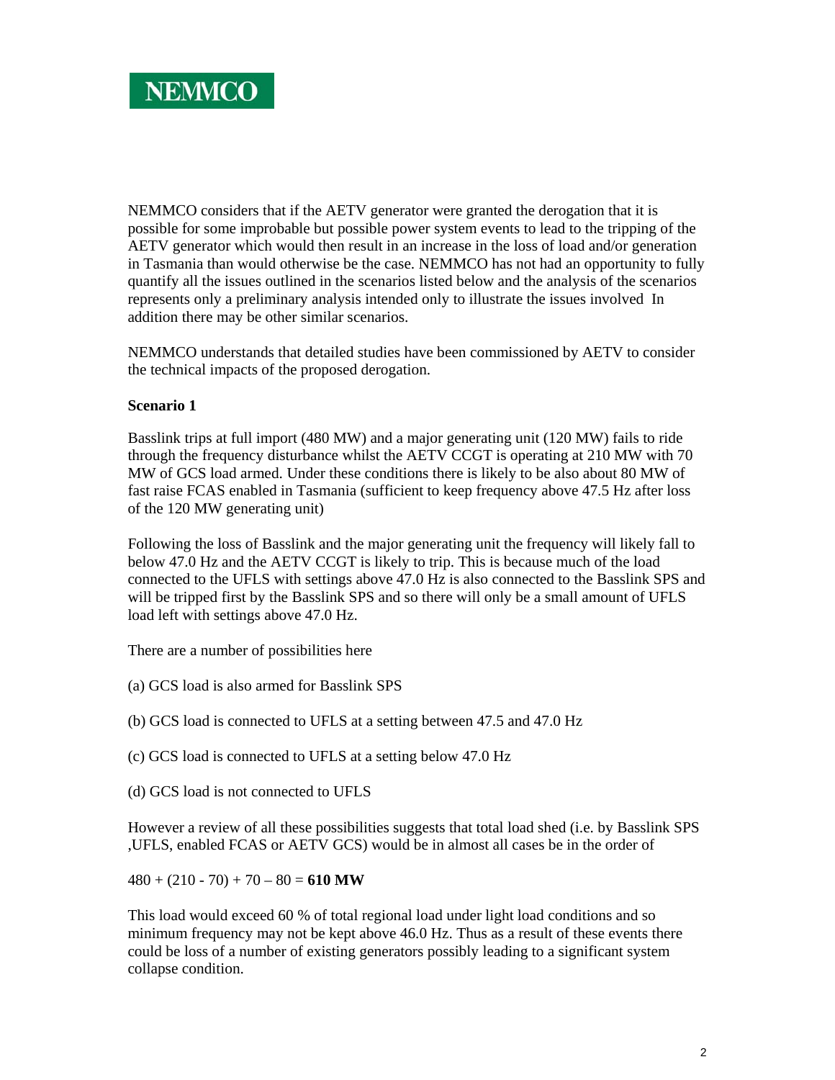NEMMCO considers that if the AETV generator were granted the derogation that it is possible for some improbable but possible power system events to lead to the tripping of the AETV generator which would then result in an increase in the loss of load and/or generation in Tasmania than would otherwise be the case. NEMMCO has not had an opportunity to fully quantify all the issues outlined in the scenarios listed below and the analysis of the scenarios represents only a preliminary analysis intended only to illustrate the issues involved In addition there may be other similar scenarios.

NEMMCO understands that detailed studies have been commissioned by AETV to consider the technical impacts of the proposed derogation.

## **Scenario 1**

Basslink trips at full import (480 MW) and a major generating unit (120 MW) fails to ride through the frequency disturbance whilst the AETV CCGT is operating at 210 MW with 70 MW of GCS load armed. Under these conditions there is likely to be also about 80 MW of fast raise FCAS enabled in Tasmania (sufficient to keep frequency above 47.5 Hz after loss of the 120 MW generating unit)

Following the loss of Basslink and the major generating unit the frequency will likely fall to below 47.0 Hz and the AETV CCGT is likely to trip. This is because much of the load connected to the UFLS with settings above 47.0 Hz is also connected to the Basslink SPS and will be tripped first by the Basslink SPS and so there will only be a small amount of UFLS load left with settings above 47.0 Hz.

There are a number of possibilities here

- (a) GCS load is also armed for Basslink SPS
- (b) GCS load is connected to UFLS at a setting between 47.5 and 47.0 Hz

(c) GCS load is connected to UFLS at a setting below 47.0 Hz

(d) GCS load is not connected to UFLS

However a review of all these possibilities suggests that total load shed (i.e. by Basslink SPS ,UFLS, enabled FCAS or AETV GCS) would be in almost all cases be in the order of

 $480 + (210 - 70) + 70 - 80 = 610 \text{ MW}$ 

This load would exceed 60 % of total regional load under light load conditions and so minimum frequency may not be kept above 46.0 Hz. Thus as a result of these events there could be loss of a number of existing generators possibly leading to a significant system collapse condition.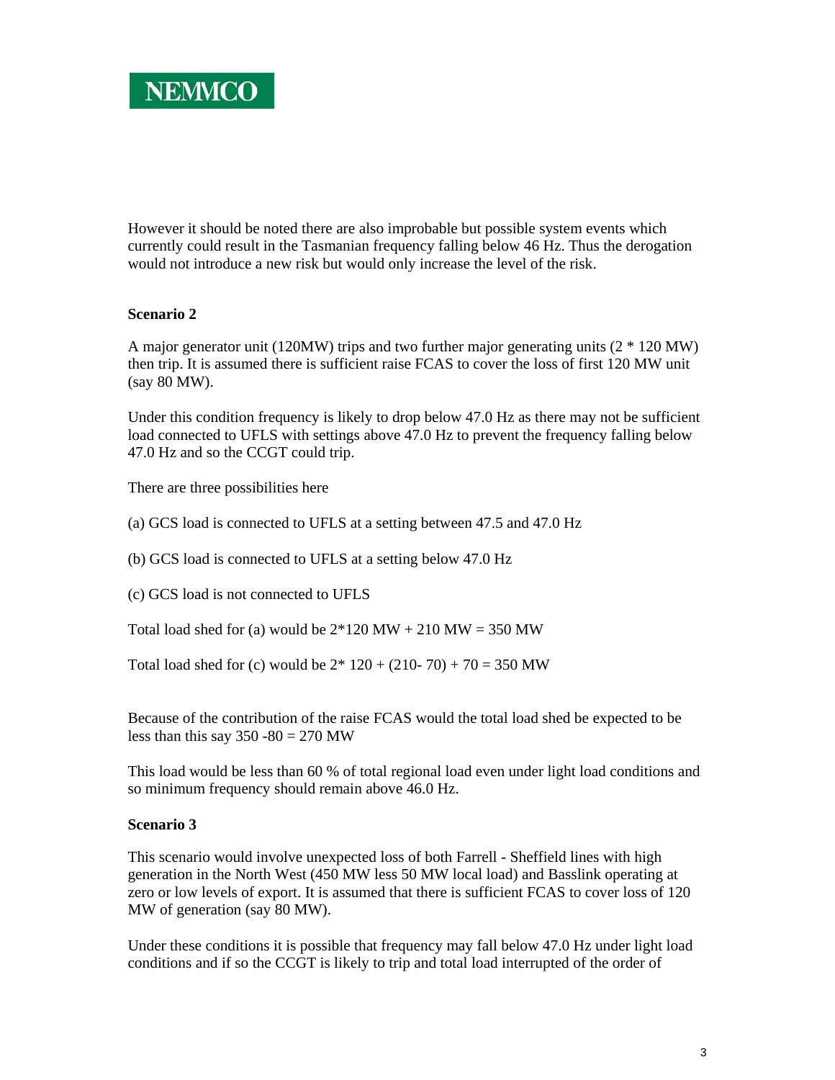However it should be noted there are also improbable but possible system events which currently could result in the Tasmanian frequency falling below 46 Hz. Thus the derogation would not introduce a new risk but would only increase the level of the risk.

## **Scenario 2**

A major generator unit (120MW) trips and two further major generating units (2 \* 120 MW) then trip. It is assumed there is sufficient raise FCAS to cover the loss of first 120 MW unit (say 80 MW).

Under this condition frequency is likely to drop below 47.0 Hz as there may not be sufficient load connected to UFLS with settings above 47.0 Hz to prevent the frequency falling below 47.0 Hz and so the CCGT could trip.

There are three possibilities here

(a) GCS load is connected to UFLS at a setting between 47.5 and 47.0 Hz

(b) GCS load is connected to UFLS at a setting below 47.0 Hz

(c) GCS load is not connected to UFLS

Total load shed for (a) would be  $2*120$  MW + 210 MW = 350 MW

Total load shed for (c) would be  $2*120 + (210-70) + 70 = 350$  MW

Because of the contribution of the raise FCAS would the total load shed be expected to be less than this say  $350 - 80 = 270$  MW

This load would be less than 60 % of total regional load even under light load conditions and so minimum frequency should remain above 46.0 Hz.

## **Scenario 3**

This scenario would involve unexpected loss of both Farrell - Sheffield lines with high generation in the North West (450 MW less 50 MW local load) and Basslink operating at zero or low levels of export. It is assumed that there is sufficient FCAS to cover loss of 120 MW of generation (say 80 MW).

Under these conditions it is possible that frequency may fall below 47.0 Hz under light load conditions and if so the CCGT is likely to trip and total load interrupted of the order of